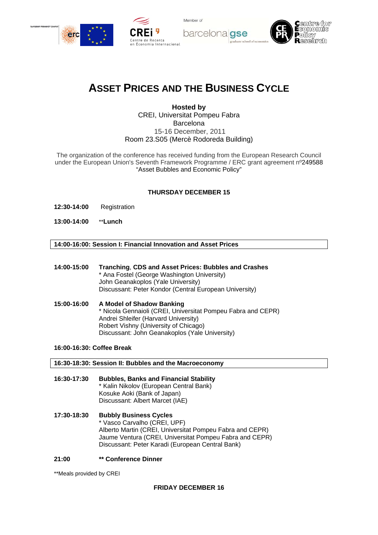



Member of barcelona ase



# **ASSET PRICES AND THE BUSINESS CYCLE**

**Hosted by**  CREI, Universitat Pompeu Fabra Barcelona 15-16 December, 2011 Room 23.S05 (Mercè Rodoreda Building)

The organization of the conference has received funding from the European Research Council under the European Union's Seventh Framework Programme / ERC grant agreement nº249588 "Asset Bubbles and Economic Policy"

## **THURSDAY DECEMBER 15**

- **12:30-14:00** Registration
- **13:00-14:00** \*\***Lunch**

## **14:00-16:00: Session I: Financial Innovation and Asset Prices**

- **14:00-15:00 Tranching**, **CDS and Asset Prices: Bubbles and Crashes** \* Ana Fostel (George Washington University) John Geanakoplos (Yale University) Discussant: Peter Kondor (Central European University)
- **15:00-16:00 A Model of Shadow Banking** \* Nicola Gennaioli (CREI, Universitat Pompeu Fabra and CEPR) Andrei Shleifer (Harvard University) Robert Vishny (University of Chicago) Discussant: John Geanakoplos (Yale University)

## **16:00-16:30: Coffee Break**

## **16:30-18:30: Session II: Bubbles and the Macroeconomy**

- **16:30-17:30 Bubbles, Banks and Financial Stability** \* Kalin Nikolov (European Central Bank) Kosuke Aoki (Bank of Japan) Discussant: Albert Marcet (IAE)
- **17:30-18:30 Bubbly Business Cycles** \* Vasco Carvalho (CREI, UPF) Alberto Martin (CREI, Universitat Pompeu Fabra and CEPR) Jaume Ventura (CREI, Universitat Pompeu Fabra and CEPR) Discussant: Peter Karadi (European Central Bank)

## **21:00 \*\* Conference Dinner**

\*\*Meals provided by CREI

## **FRIDAY DECEMBER 16**